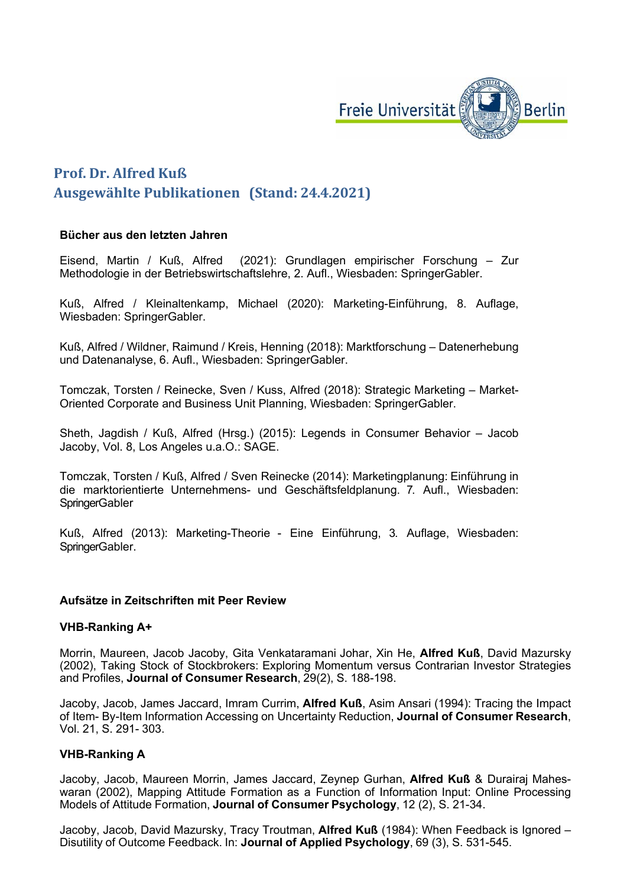

# **Prof. Dr. Alfred Kuß Ausgewählte Publikationen (Stand: 24.4.2021)**

## **Bücher aus den letzten Jahren**

Eisend, Martin / Kuß, Alfred (2021): Grundlagen empirischer Forschung – Zur Methodologie in der Betriebswirtschaftslehre, 2. Aufl., Wiesbaden: SpringerGabler.

Kuß, Alfred / Kleinaltenkamp, Michael (2020): Marketing-Einführung, 8. Auflage, Wiesbaden: SpringerGabler.

Kuß, Alfred / Wildner, Raimund / Kreis, Henning (2018): Marktforschung – Datenerhebung und Datenanalyse, 6. Aufl., Wiesbaden: SpringerGabler.

Tomczak, Torsten / Reinecke, Sven / Kuss, Alfred (2018): Strategic Marketing – Market-Oriented Corporate and Business Unit Planning, Wiesbaden: SpringerGabler.

Sheth, Jagdish / Kuß, Alfred (Hrsg.) (2015): Legends in Consumer Behavior – Jacob Jacoby, Vol. 8, Los Angeles u.a.O.: SAGE.

Tomczak, Torsten / Kuß, Alfred / Sven Reinecke (2014): Marketingplanung: Einführung in die marktorientierte Unternehmens- und Geschäftsfeldplanung. 7. Aufl., Wiesbaden: **SpringerGabler** 

Kuß, Alfred (2013): Marketing-Theorie - Eine Einführung, 3. Auflage, Wiesbaden: SpringerGabler.

#### **Aufsätze in Zeitschriften mit Peer Review**

#### **VHB-Ranking A+**

Morrin, Maureen, Jacob Jacoby, Gita Venkataramani Johar, Xin He, **Alfred Kuß**, David Mazursky (2002), Taking Stock of Stockbrokers: Exploring Momentum versus Contrarian Investor Strategies and Profiles, **Journal of Consumer Research**, 29(2), S. 188-198.

Jacoby, Jacob, James Jaccard, Imram Currim, **Alfred Kuß**, Asim Ansari (1994): Tracing the Impact of Item- By-Item Information Accessing on Uncertainty Reduction, **Journal of Consumer Research**, Vol. 21, S. 291- 303.

#### **VHB-Ranking A**

Jacoby, Jacob, Maureen Morrin, James Jaccard, Zeynep Gurhan, **Alfred Kuß** & Durairaj Maheswaran (2002), Mapping Attitude Formation as a Function of Information Input: Online Processing Models of Attitude Formation, **Journal of Consumer Psychology**, 12 (2), S. 21-34.

Jacoby, Jacob, David Mazursky, Tracy Troutman, **Alfred Kuß** (1984): When Feedback is Ignored – Disutility of Outcome Feedback. In: **Journal of Applied Psychology**, 69 (3), S. 531-545.